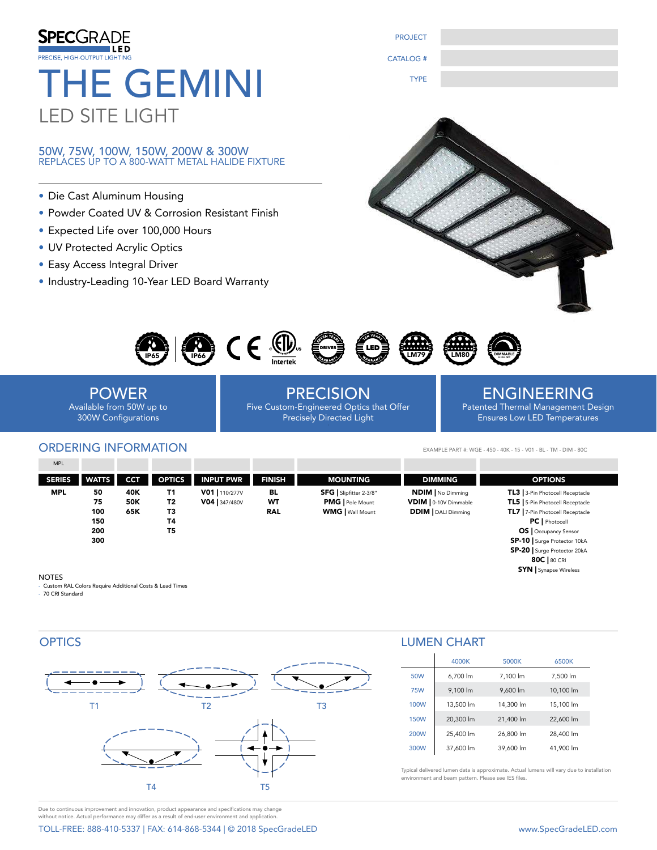| <b>SPECGRADE</b><br>PRECISE, HIGH-OUTPUT LIGHTING<br><b>THE GEMINI</b><br><b>LED SITE LIGHT</b><br>50W, 75W, 100W, 150W, 200W & 300W<br>REPLACES UP TO A 800-WATT METAL HALIDE FIXTURE                                                  | <b>PROJECT</b><br><b>CATALOG#</b><br><b>TYPE</b>                                                |                                                                                                      |
|-----------------------------------------------------------------------------------------------------------------------------------------------------------------------------------------------------------------------------------------|-------------------------------------------------------------------------------------------------|------------------------------------------------------------------------------------------------------|
| • Die Cast Aluminum Housing<br>• Powder Coated UV & Corrosion Resistant Finish<br>• Expected Life over 100,000 Hours<br>• UV Protected Acrylic Optics<br>• Easy Access Integral Driver<br>• Industry-Leading 10-Year LED Board Warranty |                                                                                                 |                                                                                                      |
| $\mathbb{C}$ $\in$ $\mathbb{C}$                                                                                                                                                                                                         |                                                                                                 |                                                                                                      |
| <b>POWER</b><br>Available from 50W up to<br><b>300W Configurations</b>                                                                                                                                                                  | <b>PRECISION</b><br>Five Custom-Engineered Optics that Offer<br><b>Precisely Directed Light</b> | <b>ENGINEERING</b><br>Patented Thermal Management Design<br><b>Ensures Low LED Temperatures</b>      |
| <b>ORDERING INFORMATION</b><br><b>MPL</b><br><b>OPTICS</b><br><b>INPUT PWR</b><br><b>SERIES</b><br><b>WATTS</b><br><b>CCT</b>                                                                                                           | <b>FINISH</b><br><b>MOUNTING</b>                                                                | EXAMPLE PART #: WGE - 450 - 40K - 15 - V01 - BL - TM - DIM - 80C<br><b>DIMMING</b><br><b>OPTIONS</b> |

| $\sim$ - $\sim$ - | <b>TYALIS</b> | . . | <b>VEIIL</b> | INFUI FWR      | гімэп | טיוו ו ויטש             | имину                      | <b>UF IIUIV</b>                       |
|-------------------|---------------|-----|--------------|----------------|-------|-------------------------|----------------------------|---------------------------------------|
| <b>MPL</b>        | 50            | 40K | Τ1           | V01   110/277V | BL    | SFG   Slipfitter 2-3/8" | <b>NDIM</b>   No Dimming   | TL3 3-Pin Photocell Receptacle        |
|                   | 75            | 50K | Т2           | V04 347/480V   | wт    | <b>PMG</b>   Pole Mount | VDIM   0-10V Dimmable      | <b>TL5</b> 5-Pin Photocell Receptacle |
|                   | 100           | 65K | T3           |                | RAL   | <b>WMG</b>   Wall Mount | <b>DDIM</b>   DALI Dimming | TL7   7-Pin Photocell Receptacle      |
|                   | 150           |     | Τ4           |                |       |                         |                            | <b>PC</b>   Photocell                 |
|                   | 200           |     | Τ5           |                |       |                         |                            | <b>OS</b>   Occupancy Sensor          |
|                   | 300           |     |              |                |       |                         |                            | <b>SP-10</b> Surge Protector 10kA     |
|                   |               |     |              |                |       |                         |                            | SP-20   Surge Protector 20kA          |

#### NOTES

- Custom RAL Colors Require Additional Costs & Lead Times - 70 CRI Standard



## LUMEN CHART

|             | 4000K     | 5000K     | 6500K     |
|-------------|-----------|-----------|-----------|
| 50W         | 6.700 lm  | 7,100 lm  | 7,500 lm  |
| <b>75W</b>  | 9.100 lm  | 9.600 lm  | 10,100 lm |
| 100W        | 13,500 lm | 14,300 lm | 15,100 lm |
| <b>150W</b> | 20,300 lm | 21,400 lm | 22,600 lm |
| 200W        | 25,400 lm | 26,800 lm | 28,400 lm |
| 300W        | 37,600 lm | 39,600 lm | 41.900 lm |

Typical delivered lumen data is approximate. Actual lumens will vary due to installation environment and beam pattern. Please see IES files.

Due to continuous improvement and innovation, product appearance and specifications may change without notice. Actual performance may differ as a result of end-user environment and application.

TOLL-FREE: 888-410-5337 | FAX: 614-868-5344 | © 2018 SpecGradeLED www.SpecGradeLED.com

80C | 80 CRI SYN | Synapse Wireless